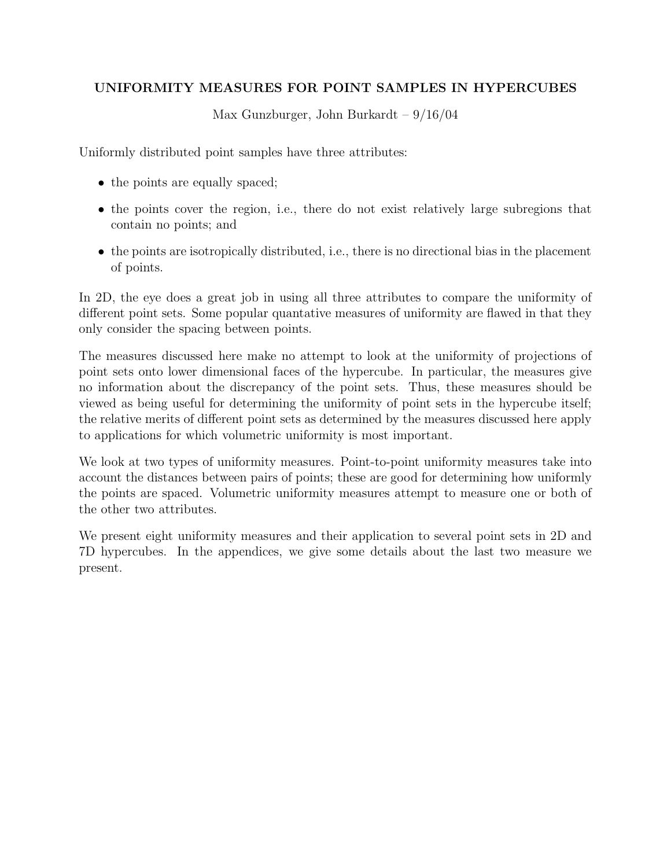# UNIFORMITY MEASURES FOR POINT SAMPLES IN HYPERCUBES

Max Gunzburger, John Burkardt – 9/16/04

Uniformly distributed point samples have three attributes:

- the points are equally spaced;
- the points cover the region, i.e., there do not exist relatively large subregions that contain no points; and
- the points are isotropically distributed, i.e., there is no directional bias in the placement of points.

In 2D, the eye does a great job in using all three attributes to compare the uniformity of different point sets. Some popular quantative measures of uniformity are flawed in that they only consider the spacing between points.

The measures discussed here make no attempt to look at the uniformity of projections of point sets onto lower dimensional faces of the hypercube. In particular, the measures give no information about the discrepancy of the point sets. Thus, these measures should be viewed as being useful for determining the uniformity of point sets in the hypercube itself; the relative merits of different point sets as determined by the measures discussed here apply to applications for which volumetric uniformity is most important.

We look at two types of uniformity measures. Point-to-point uniformity measures take into account the distances between pairs of points; these are good for determining how uniformly the points are spaced. Volumetric uniformity measures attempt to measure one or both of the other two attributes.

We present eight uniformity measures and their application to several point sets in 2D and 7D hypercubes. In the appendices, we give some details about the last two measure we present.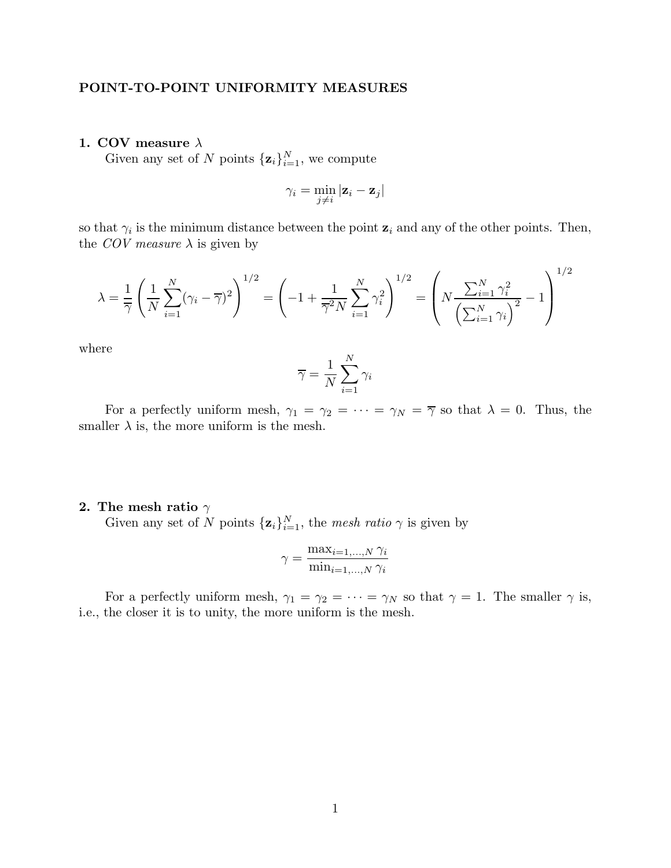## POINT-TO-POINT UNIFORMITY MEASURES

## 1. COV measure  $\lambda$

Given any set of N points  $\{z_i\}_{i=1}^N$ , we compute

$$
\gamma_i = \min_{j \neq i} |\mathbf{z}_i - \mathbf{z}_j|
$$

so that  $\gamma_i$  is the minimum distance between the point  $\mathbf{z}_i$  and any of the other points. Then, the COV measure  $\lambda$  is given by

$$
\lambda = \frac{1}{\overline{\gamma}} \left( \frac{1}{N} \sum_{i=1}^{N} (\gamma_i - \overline{\gamma})^2 \right)^{1/2} = \left( -1 + \frac{1}{\overline{\gamma}^2 N} \sum_{i=1}^{N} \gamma_i^2 \right)^{1/2} = \left( N \frac{\sum_{i=1}^{N} \gamma_i^2}{\left( \sum_{i=1}^{N} \gamma_i \right)^2} - 1 \right)^{1/2}
$$

where

$$
\overline{\gamma} = \frac{1}{N} \sum_{i=1}^{N} \gamma_i
$$

For a perfectly uniform mesh,  $\gamma_1 = \gamma_2 = \cdots = \gamma_N = \overline{\gamma}$  so that  $\lambda = 0$ . Thus, the smaller  $\lambda$  is, the more uniform is the mesh.

## 2. The mesh ratio  $\gamma$

Given any set of N points  $\{z_i\}_{i=1}^N$ , the mesh ratio  $\gamma$  is given by

$$
\gamma = \frac{\max_{i=1,\dots,N} \gamma_i}{\min_{i=1,\dots,N} \gamma_i}
$$

For a perfectly uniform mesh,  $\gamma_1 = \gamma_2 = \cdots = \gamma_N$  so that  $\gamma = 1$ . The smaller  $\gamma$  is, i.e., the closer it is to unity, the more uniform is the mesh.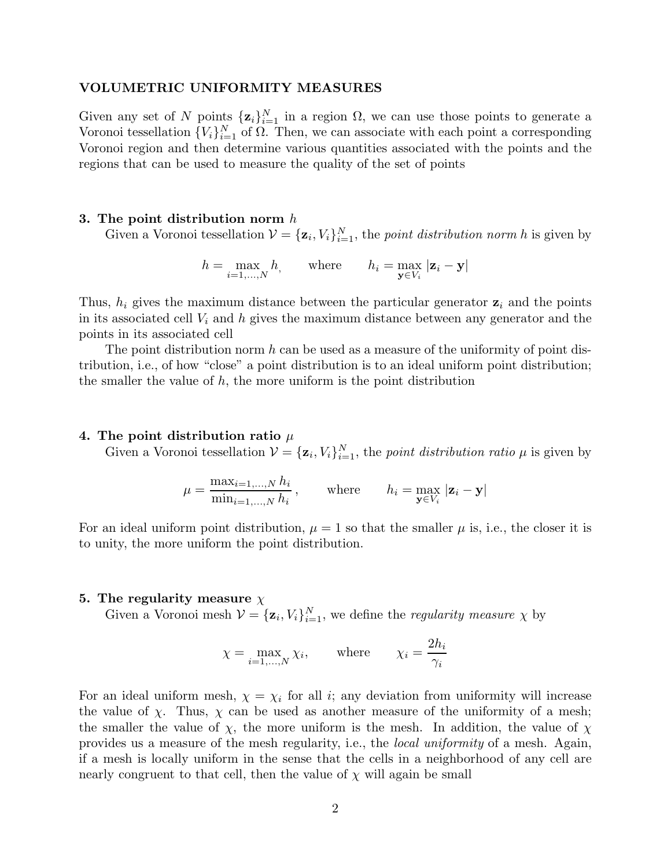### VOLUMETRIC UNIFORMITY MEASURES

Given any set of N points  $\{z_i\}_{i=1}^N$  in a region  $\Omega$ , we can use those points to generate a Voronoi tessellation  ${V_i}_{i=1}^N$  of  $\Omega$ . Then, we can associate with each point a corresponding Voronoi region and then determine various quantities associated with the points and the regions that can be used to measure the quality of the set of points

#### 3. The point distribution norm  $h$

Given a Voronoi tessellation  $\mathcal{V} = {\mathbf{z}_i, V_i}_{i=1}^N$ , the point distribution norm h is given by

$$
h = \max_{i=1,\dots,N} h, \qquad \text{where} \qquad h_i = \max_{\mathbf{y} \in V_i} |\mathbf{z}_i - \mathbf{y}|
$$

Thus,  $h_i$  gives the maximum distance between the particular generator  $z_i$  and the points in its associated cell  $V_i$  and h gives the maximum distance between any generator and the points in its associated cell

The point distribution norm  $h$  can be used as a measure of the uniformity of point distribution, i.e., of how "close" a point distribution is to an ideal uniform point distribution; the smaller the value of  $h$ , the more uniform is the point distribution

#### 4. The point distribution ratio  $\mu$

Given a Voronoi tessellation  $\mathcal{V} = {\mathbf{z}_i, V_i}_{i=1}^N$ , the *point distribution ratio*  $\mu$  is given by

$$
\mu = \frac{\max_{i=1,\dots,N} h_i}{\min_{i=1,\dots,N} h_i}, \quad \text{where} \quad h_i = \max_{\mathbf{y} \in V_i} |\mathbf{z}_i - \mathbf{y}|
$$

For an ideal uniform point distribution,  $\mu = 1$  so that the smaller  $\mu$  is, i.e., the closer it is to unity, the more uniform the point distribution.

## 5. The regularity measure  $\chi$

Given a Voronoi mesh  $V = {\mathbf{z}_i, V_i}_{i=1}^N$ , we define the *regularity measure*  $\chi$  by

$$
\chi = \max_{i=1,\dots,N} \chi_i, \qquad \text{where} \qquad \chi_i = \frac{2h_i}{\gamma_i}
$$

For an ideal uniform mesh,  $\chi = \chi_i$  for all i; any deviation from uniformity will increase the value of  $\chi$ . Thus,  $\chi$  can be used as another measure of the uniformity of a mesh; the smaller the value of  $\chi$ , the more uniform is the mesh. In addition, the value of  $\chi$ provides us a measure of the mesh regularity, i.e., the local uniformity of a mesh. Again, if a mesh is locally uniform in the sense that the cells in a neighborhood of any cell are nearly congruent to that cell, then the value of  $\chi$  will again be small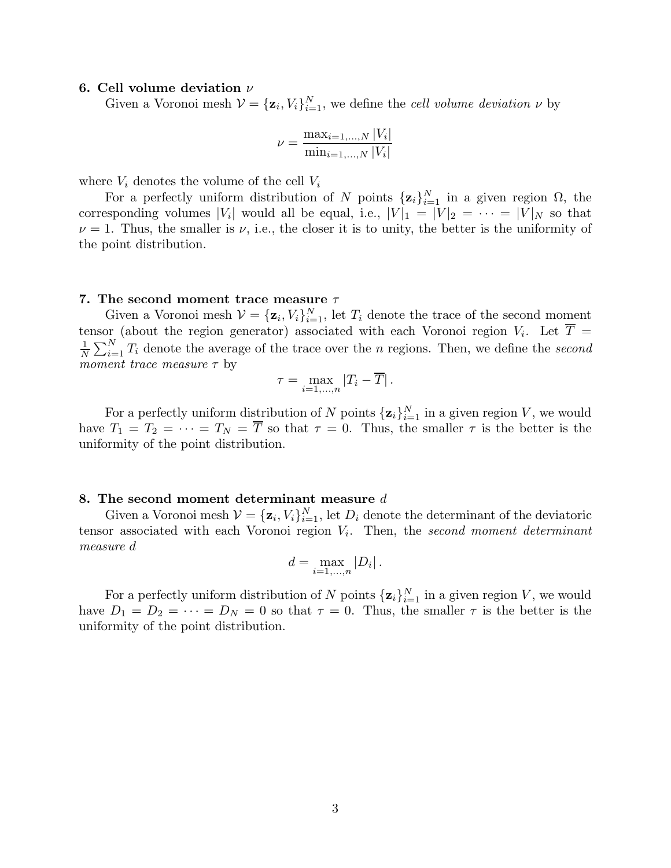#### 6. Cell volume deviation  $\nu$

Given a Voronoi mesh  $V = {\mathbf{z}_i, V_i}_{i=1}^N$ , we define the *cell volume deviation*  $\nu$  by

$$
\nu = \frac{\max_{i=1,...,N} |V_i|}{\min_{i=1,...,N} |V_i|}
$$

where  $V_i$  denotes the volume of the cell  $V_i$ 

For a perfectly uniform distribution of N points  $\{z_i\}_{i=1}^N$  in a given region  $\Omega$ , the corresponding volumes |V<sub>i</sub>| would all be equal, i.e.,  $|V|_1 = |V|_2 = \cdots = |V|_N$  so that  $\nu = 1$ . Thus, the smaller is  $\nu$ , i.e., the closer it is to unity, the better is the uniformity of the point distribution.

#### 7. The second moment trace measure  $\tau$

Given a Voronoi mesh  $V = {\mathbf{z}_i, V_i}_{i=1}^N$ , let  $T_i$  denote the trace of the second moment tensor (about the region generator) associated with each Voronoi region  $V_i$ . Let  $T =$ 1  $\frac{1}{N} \sum_{i=1}^{N} T_i$  denote the average of the trace over the n regions. Then, we define the second moment trace measure  $\tau$  by

$$
\tau = \max_{i=1,\dots,n} |T_i - \overline{T}|.
$$

For a perfectly uniform distribution of N points  $\{z_i\}_{i=1}^N$  in a given region V, we would have  $T_1 = T_2 = \cdots = T_N = \overline{T}$  so that  $\tau = 0$ . Thus, the smaller  $\tau$  is the better is the uniformity of the point distribution.

## 8. The second moment determinant measure d

Given a Voronoi mesh  $\mathcal{V} = {\mathbf{z}_i, V_i}_{i=1}^N$ , let  $D_i$  denote the determinant of the deviatoric tensor associated with each Voronoi region  $V_i$ . Then, the second moment determinant measure d

$$
d = \max_{i=1,\dots,n} |D_i| \,.
$$

For a perfectly uniform distribution of N points  $\{z_i\}_{i=1}^N$  in a given region V, we would have  $D_1 = D_2 = \cdots = D_N = 0$  so that  $\tau = 0$ . Thus, the smaller  $\tau$  is the better is the uniformity of the point distribution.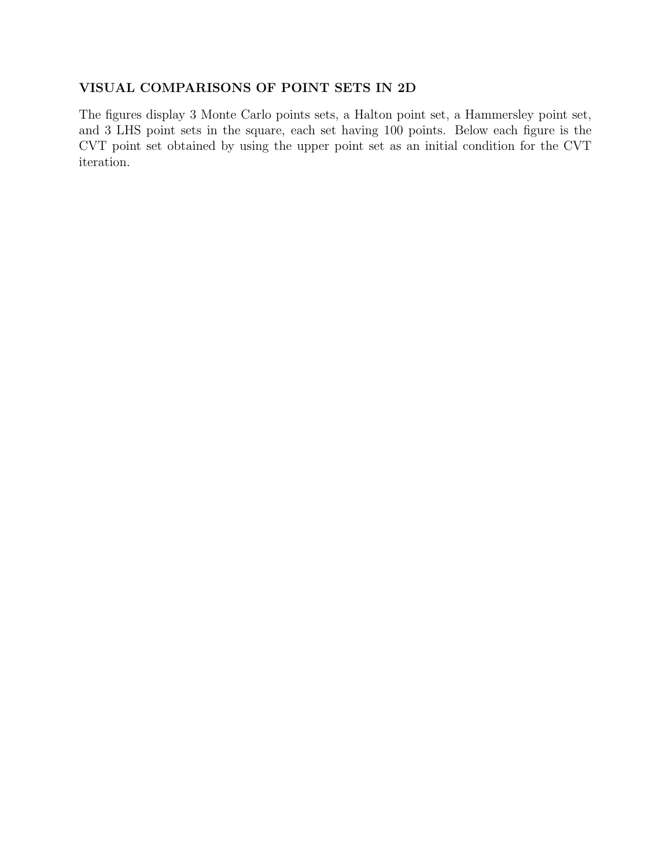## VISUAL COMPARISONS OF POINT SETS IN 2D

The figures display 3 Monte Carlo points sets, a Halton point set, a Hammersley point set, and 3 LHS point sets in the square, each set having 100 points. Below each figure is the CVT point set obtained by using the upper point set as an initial condition for the CVT iteration.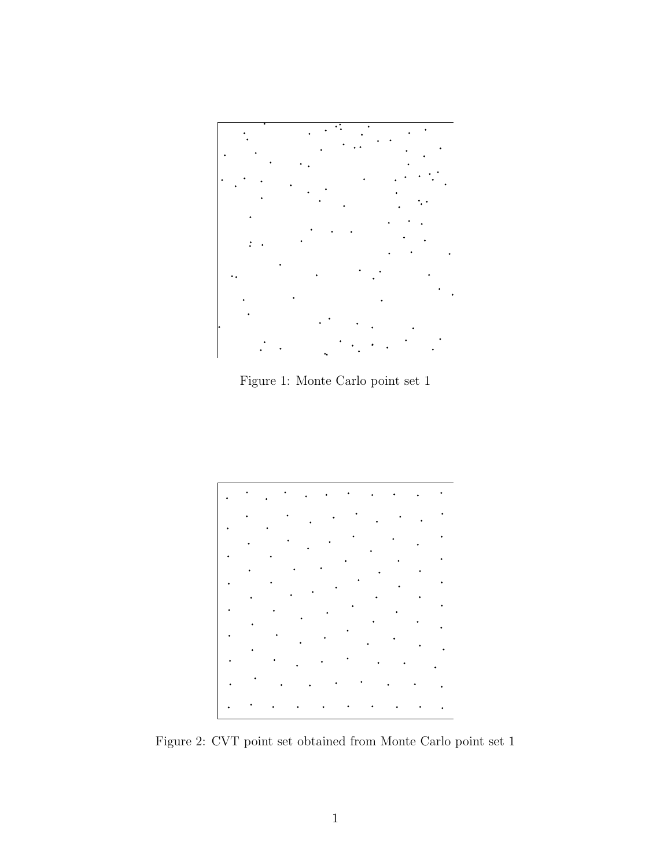

Figure 1: Monte Carlo point set 1



Figure 2: CVT point set obtained from Monte Carlo point set 1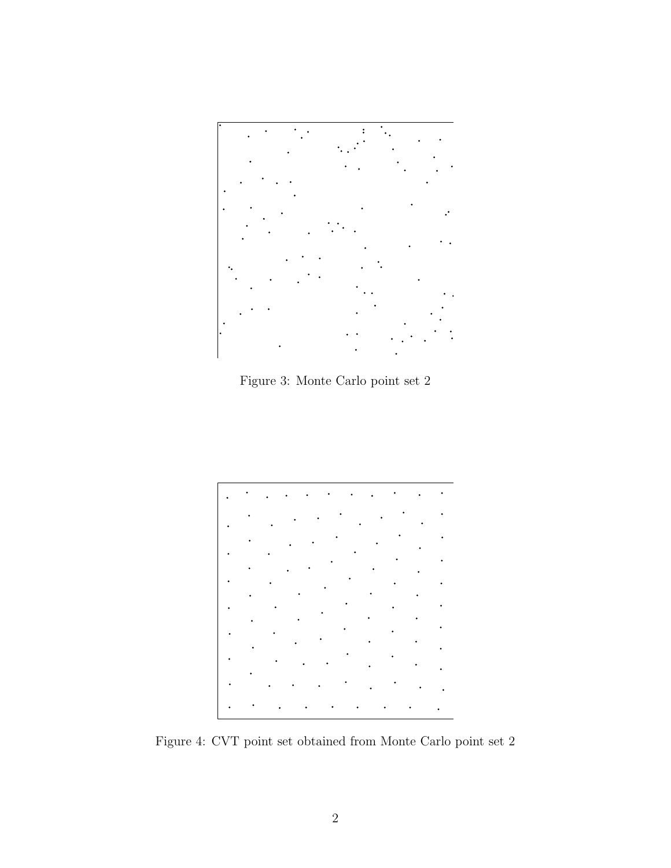

Figure 3: Monte Carlo point set 2



Figure 4: CVT point set obtained from Monte Carlo point set 2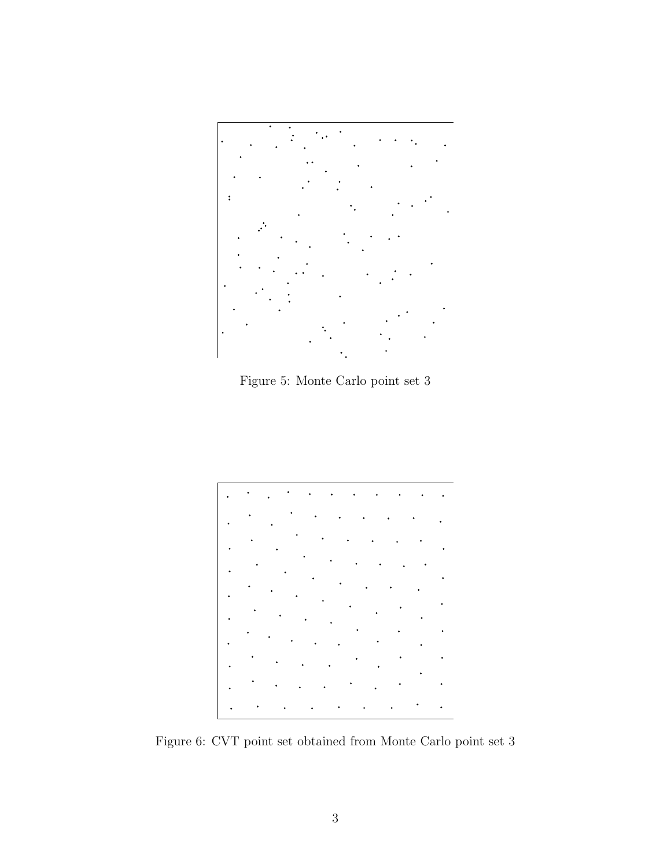

Figure 5: Monte Carlo point set 3



Figure 6: CVT point set obtained from Monte Carlo point set 3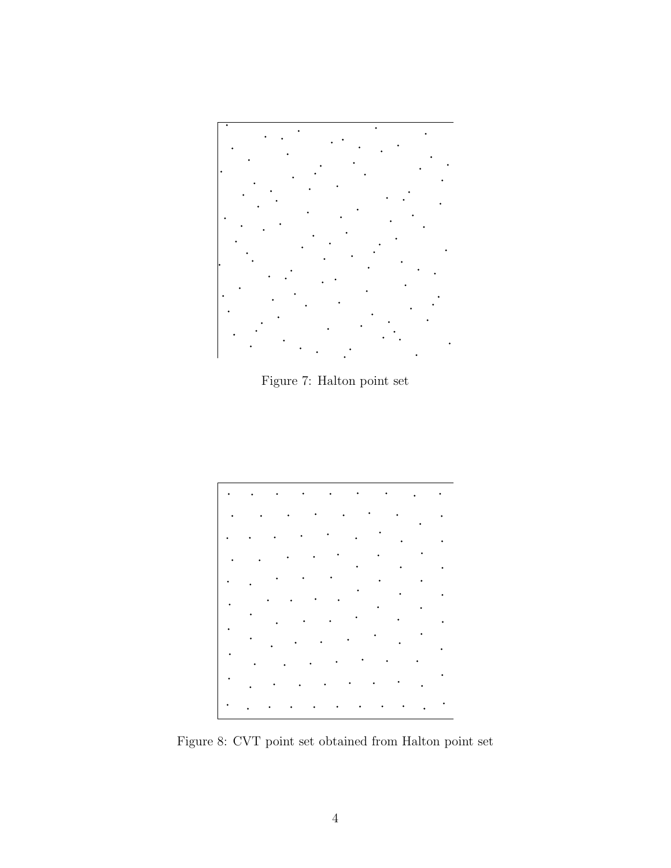

Figure 7: Halton point set



Figure 8: CVT point set obtained from Halton point set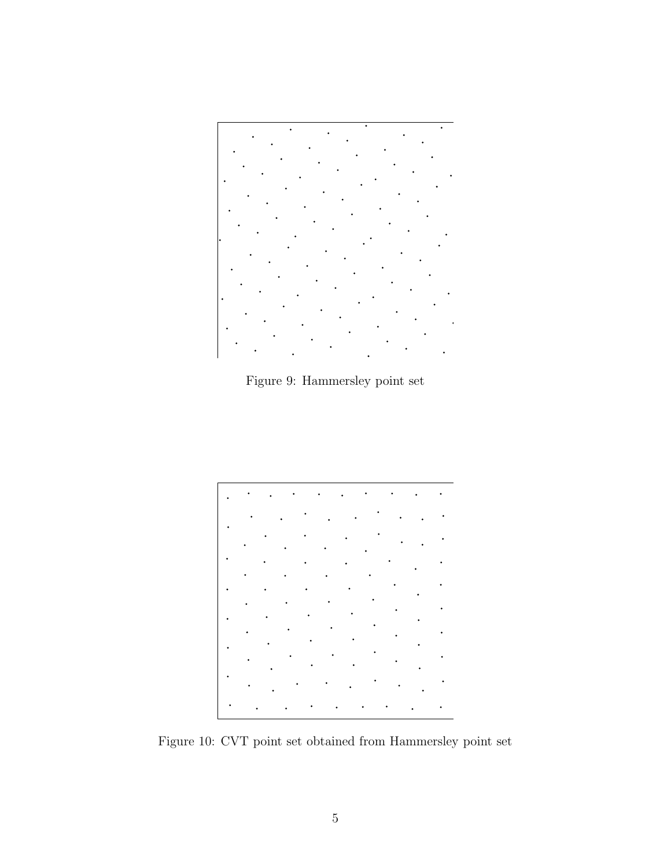

Figure 9: Hammersley point set



Figure 10: CVT point set obtained from Hammersley point set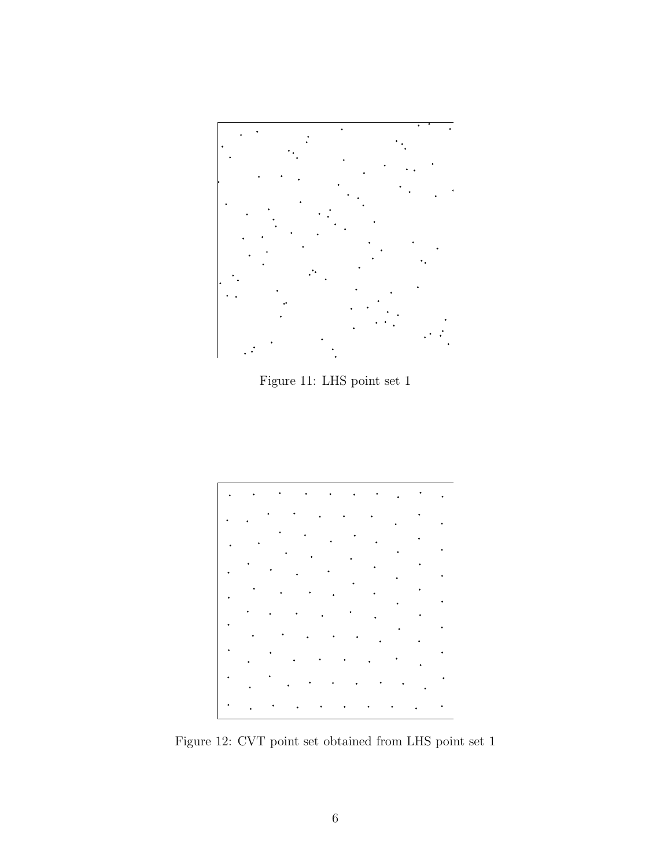

Figure 11: LHS point set 1



Figure 12: CVT point set obtained from LHS point set 1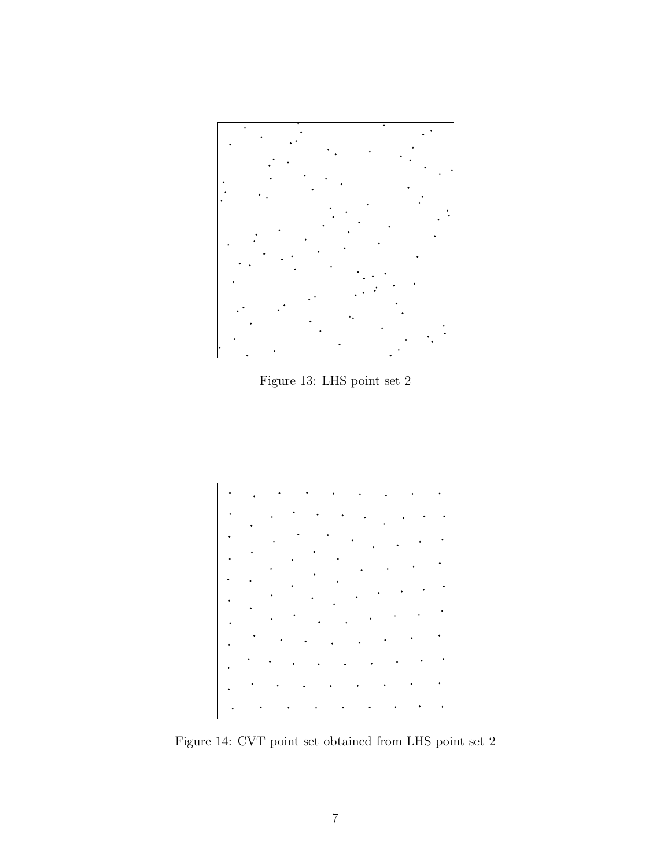

Figure 13: LHS point set 2



Figure 14: CVT point set obtained from LHS point set 2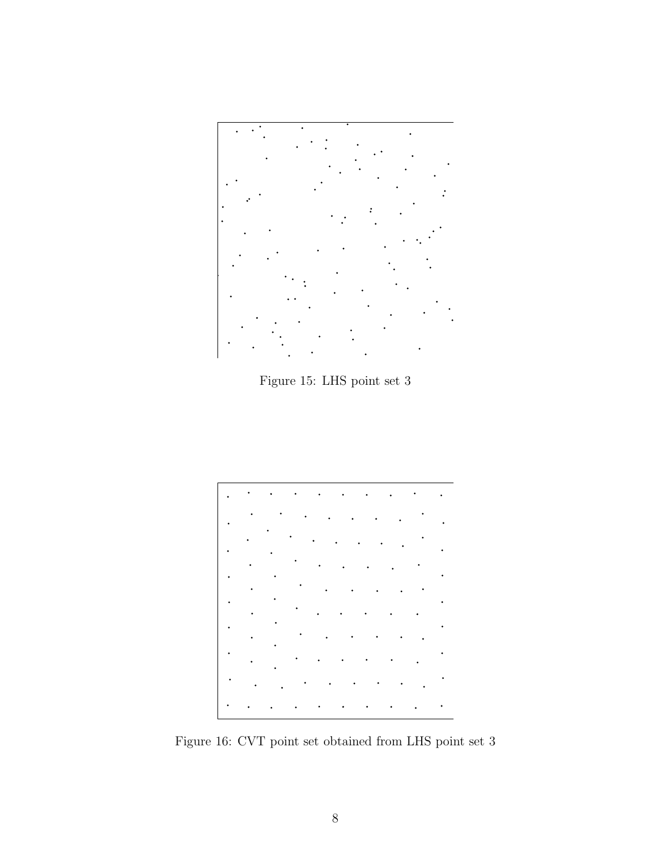

Figure 15: LHS point set 3



Figure 16: CVT point set obtained from LHS point set 3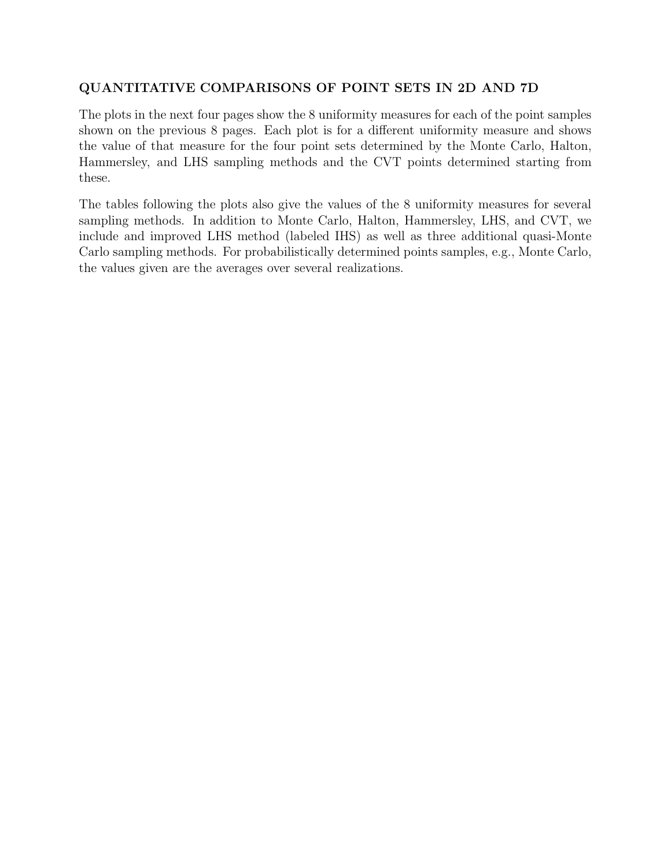# QUANTITATIVE COMPARISONS OF POINT SETS IN 2D AND 7D

The plots in the next four pages show the 8 uniformity measures for each of the point samples shown on the previous 8 pages. Each plot is for a different uniformity measure and shows the value of that measure for the four point sets determined by the Monte Carlo, Halton, Hammersley, and LHS sampling methods and the CVT points determined starting from these.

The tables following the plots also give the values of the 8 uniformity measures for several sampling methods. In addition to Monte Carlo, Halton, Hammersley, LHS, and CVT, we include and improved LHS method (labeled IHS) as well as three additional quasi-Monte Carlo sampling methods. For probabilistically determined points samples, e.g., Monte Carlo, the values given are the averages over several realizations.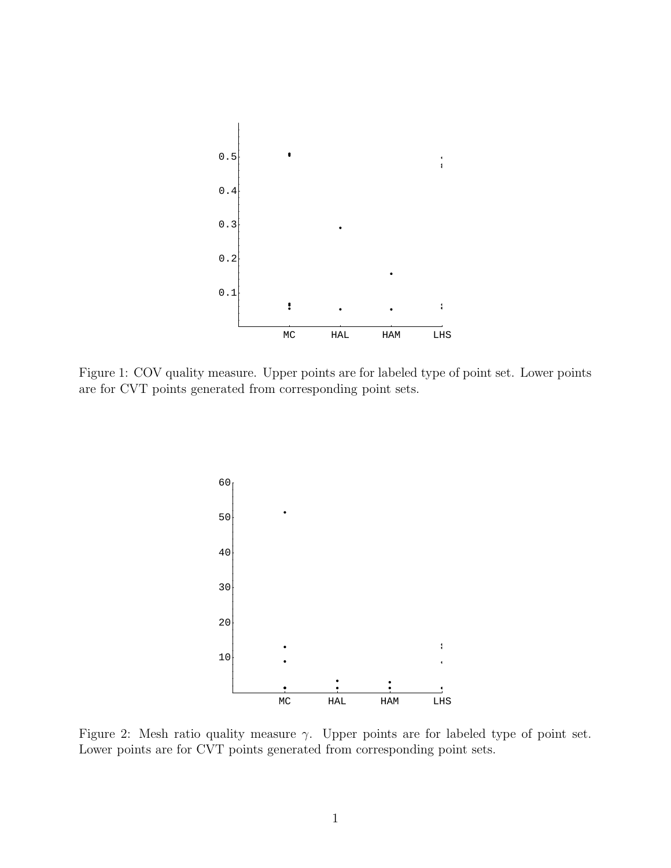

Figure 1: COV quality measure. Upper points are for labeled type of point set. Lower points are for CVT points generated from corresponding point sets.



Figure 2: Mesh ratio quality measure  $\gamma$ . Upper points are for labeled type of point set. Lower points are for CVT points generated from corresponding point sets.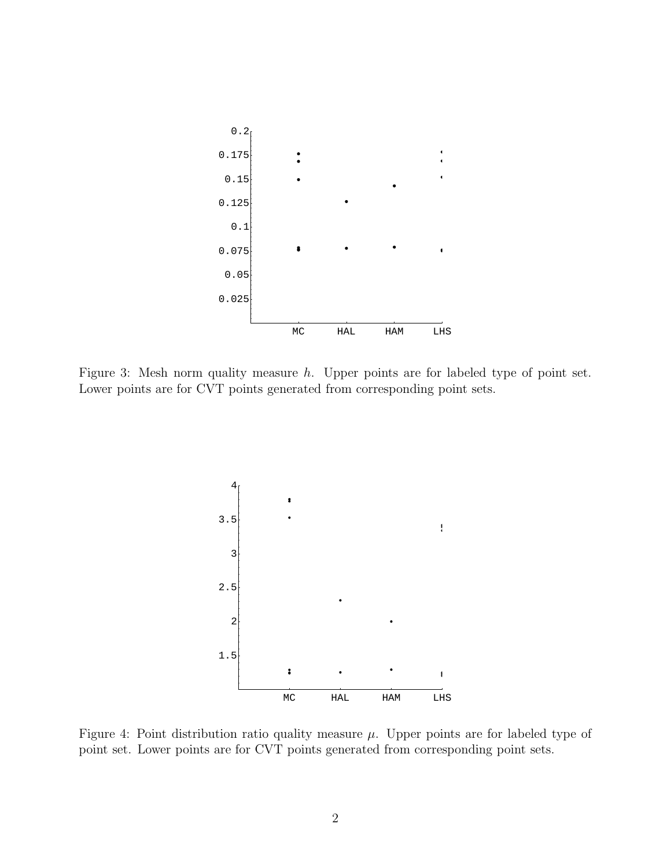

Figure 3: Mesh norm quality measure h. Upper points are for labeled type of point set. Lower points are for CVT points generated from corresponding point sets.



Figure 4: Point distribution ratio quality measure  $\mu$ . Upper points are for labeled type of point set. Lower points are for CVT points generated from corresponding point sets.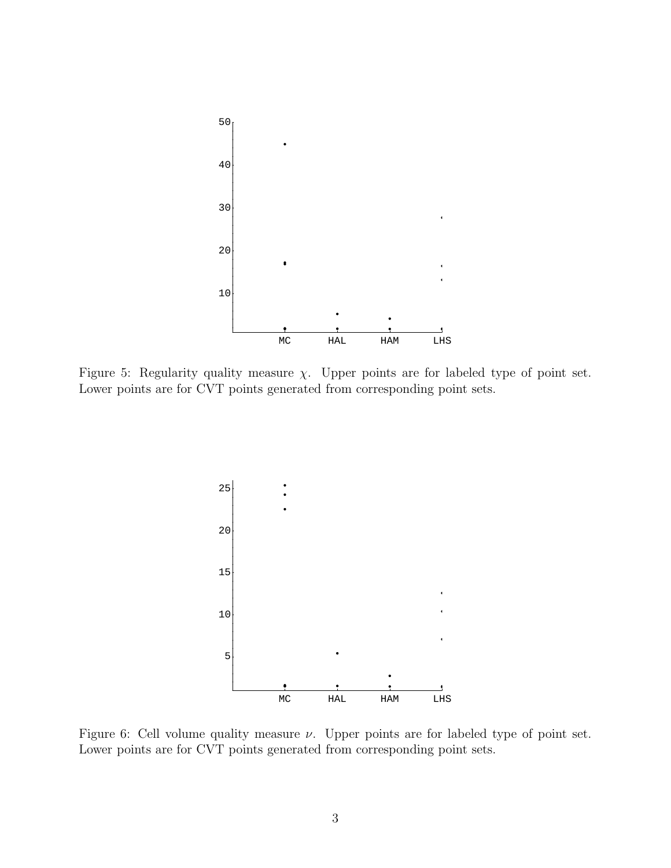

Figure 5: Regularity quality measure  $\chi$ . Upper points are for labeled type of point set. Lower points are for CVT points generated from corresponding point sets.



Figure 6: Cell volume quality measure  $\nu$ . Upper points are for labeled type of point set. Lower points are for CVT points generated from corresponding point sets.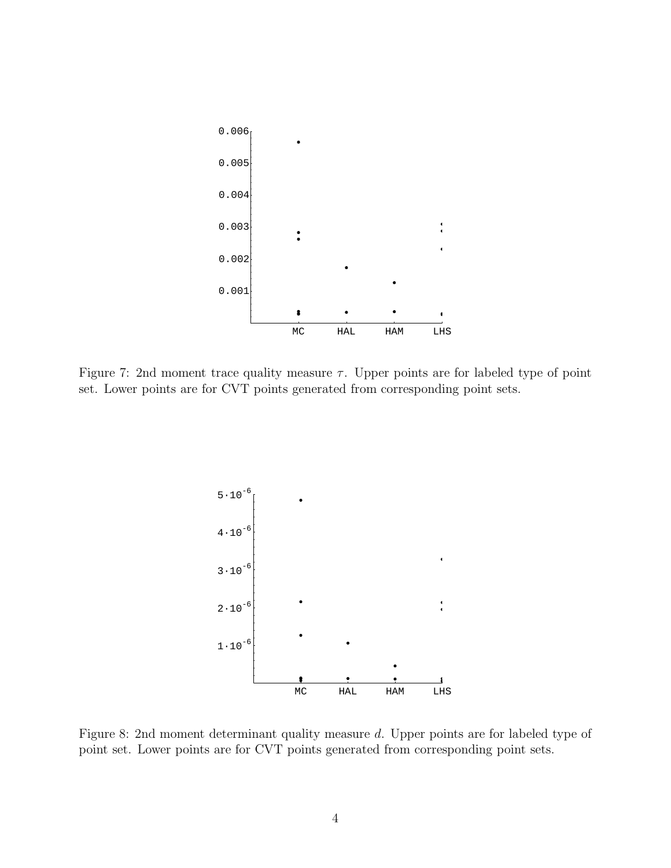

Figure 7: 2nd moment trace quality measure  $\tau$ . Upper points are for labeled type of point set. Lower points are for CVT points generated from corresponding point sets.



Figure 8: 2nd moment determinant quality measure d. Upper points are for labeled type of point set. Lower points are for CVT points generated from corresponding point sets.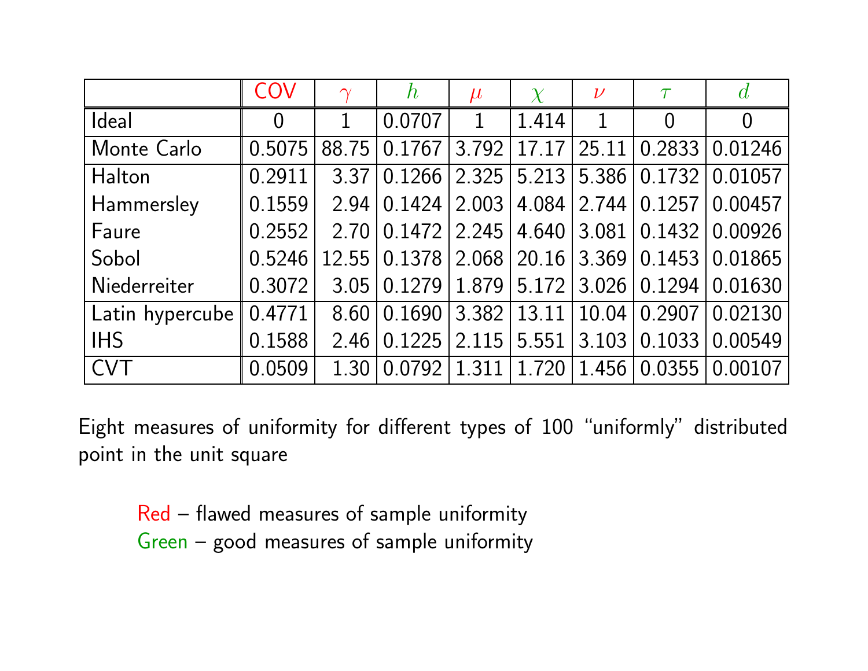|                 | COV                | $\gamma$          | $\boldsymbol{h}$ | $\mu$   | $\chi$        | $\nu$ | $\tau$                                | $\overline{d}$ |
|-----------------|--------------------|-------------------|------------------|---------|---------------|-------|---------------------------------------|----------------|
| Ideal           | $\overline{0}$     |                   | 0.0707           | 1       | 1.414         | 1     | $\Omega$                              | $\overline{0}$ |
| Monte Carlo     | 0.5075             | 88.75             | 0.1767           | 3.792   | 17.17         | 25.11 | 0.2833                                | 0.01246        |
| Halton          | 0.2911             | 3.37              | 0.1266           | 2.325   | 5.213         |       | 5.386 0.1732                          | 0.01057        |
| Hammersley      | 0.1559             | 2.94              | 0.1424           | 2.003   | 4.084         |       | $2.744 \mid 0.1257 \mid$              | 0.00457        |
| Faure           | 0.2552             | 2.70              | 0.1472           | 2.245   | 4.640         |       | $3.081 \mid 0.1432 \mid$              | 0.00926        |
| Sobol           | 0.5246             |                   |                  |         |               |       | 12.55 0.1378 2.068 20.16 3.369 0.1453 | 0.01865        |
| Niederreiter    | 0.3072             | 3.05              | 0.1279           |         | $1.879$ 5.172 |       | 3.026   0.1294                        | 0.01630        |
| Latin hypercube | $\parallel$ 0.4771 | 8.60              | 0.1690           | 3 3 8 2 | 13.11         |       | $10.04$   0.2907                      | 0.02130        |
| <b>IHS</b>      | 0.1588             | 2.46              | 0.1225           | 2.115   | 5.551         | 3.103 | 0.1033                                | 0.00549        |
| <b>CVT</b>      | 0.0509             | 1.30 <sup>1</sup> | 0.0792           | 1.311   | 1.720         |       | 1.456 0.0355                          | 0.00107        |

Eight measures of uniformity for different types of 100 "uniformly" distributedpoint in the unit square

Red – flawed measures of sample uniformity Green – goo<sup>d</sup> measures of sample uniformity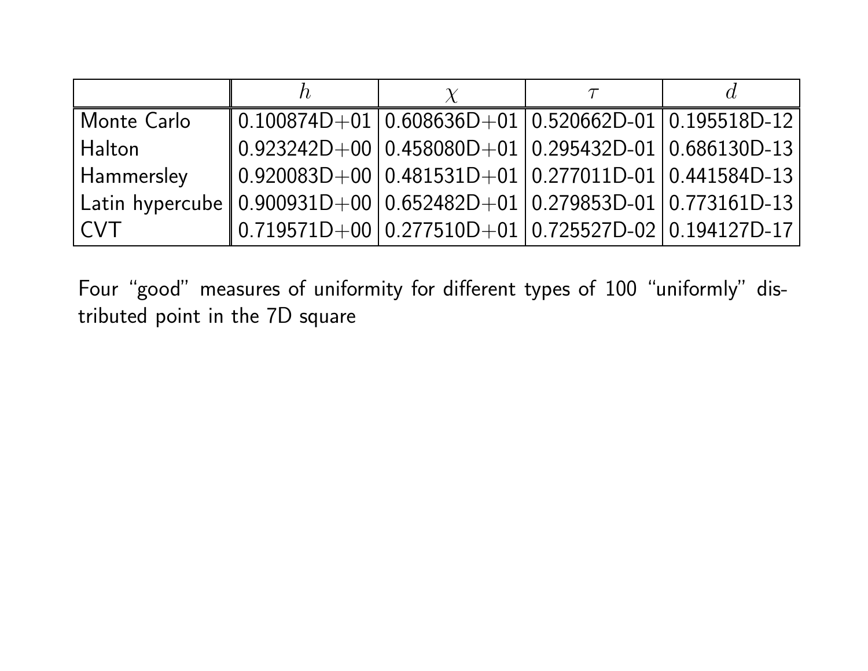| Monte Carlo                                                                     | $\mid$ 0.100874D+01 0.608636D+01 0.520662D-01 0.195518D-12                                          |  |  |
|---------------------------------------------------------------------------------|-----------------------------------------------------------------------------------------------------|--|--|
| Halton                                                                          | $\parallel$ 0.923242D $+$ 00 $\mid$ 0.458080D $+$ 01 $\mid$ 0.295432D-01 $\mid$ 0.686130D-13 $\mid$ |  |  |
| Hammersley                                                                      | $\parallel$ 0.920083D+00 $\mid$ 0.481531D+01 $\mid$ 0.277011D-01 $\mid$ 0.441584D-13 $\mid$         |  |  |
| Latin hypercube    0.900931D+00    0.652482D+01    0.279853D-01    0.773161D-13 |                                                                                                     |  |  |
| <b>CVT</b>                                                                      | $\parallel$ 0.719571D+00 $\mid$ 0.277510D+01 $\mid$ 0.725527D-02 $\mid$ 0.194127D-17 $\mid$         |  |  |

Four "good" measures of uniformity for different types of 100 "uniformly" distributed point in the 7D square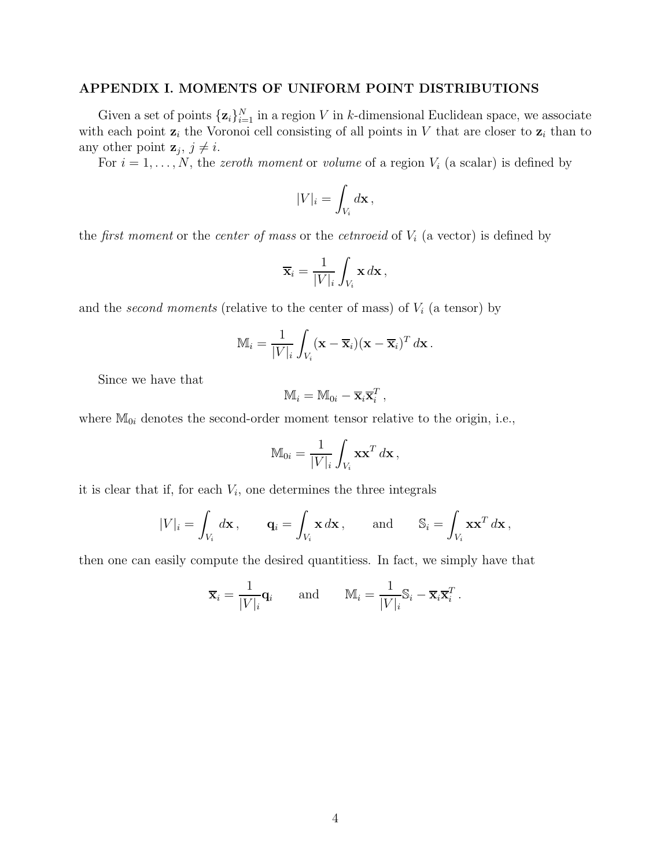## APPENDIX I. MOMENTS OF UNIFORM POINT DISTRIBUTIONS

Given a set of points  $\{z_i\}_{i=1}^N$  in a region V in k-dimensional Euclidean space, we associate with each point  $z_i$  the Voronoi cell consisting of all points in V that are closer to  $z_i$  than to any other point  $z_j, j \neq i$ .

For  $i = 1, \ldots, N$ , the *zeroth moment* or *volume* of a region  $V_i$  (a scalar) is defined by

$$
|V|_i = \int_{V_i} d\mathbf{x},
$$

the *first moment* or the *center of mass* or the *cetnroeid* of  $V_i$  (a vector) is defined by

$$
\overline{\mathbf{x}}_i = \frac{1}{|V|_i} \int_{V_i} \mathbf{x} \, d\mathbf{x},
$$

and the second moments (relative to the center of mass) of  $V_i$  (a tensor) by

$$
\mathbb{M}_i = \frac{1}{|V|_i} \int_{V_i} (\mathbf{x} - \overline{\mathbf{x}}_i)(\mathbf{x} - \overline{\mathbf{x}}_i)^T d\mathbf{x}.
$$

Since we have that

$$
\mathbb{M}_i = \mathbb{M}_{0i} - \overline{\mathbf{x}}_i \overline{\mathbf{x}}_i^T,
$$

where  $\mathbb{M}_{0i}$  denotes the second-order moment tensor relative to the origin, i.e.,

$$
\mathbb{M}_{0i} = \frac{1}{|V|_i} \int_{V_i} \mathbf{x} \mathbf{x}^T d\mathbf{x},
$$

it is clear that if, for each  $V_i$ , one determines the three integrals

$$
|V|_i = \int_{V_i} d\mathbf{x}, \qquad \mathbf{q}_i = \int_{V_i} \mathbf{x} \, d\mathbf{x}, \qquad \text{and} \qquad \mathbb{S}_i = \int_{V_i} \mathbf{x} \mathbf{x}^T \, d\mathbf{x},
$$

then one can easily compute the desired quantitiess. In fact, we simply have that

$$
\overline{\mathbf{x}}_i = \frac{1}{|V|_i} \mathbf{q}_i \quad \text{and} \quad \mathbb{M}_i = \frac{1}{|V|_i} \mathbb{S}_i - \overline{\mathbf{x}}_i \overline{\mathbf{x}}_i^T.
$$